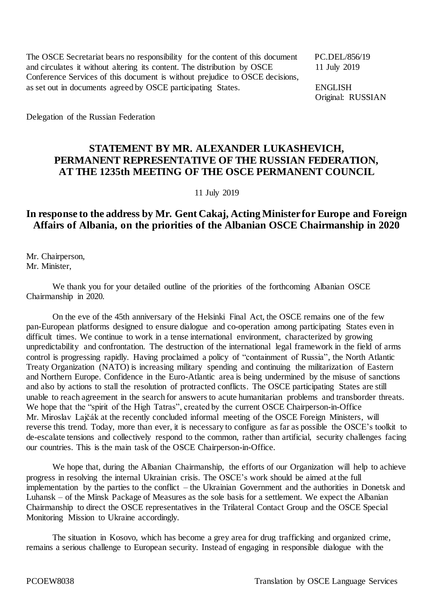The OSCE Secretariat bears no responsibility for the content of this document PC.DEL/856/19 and circulates it without altering its content. The distribution by OSCE 11 July 2019 Conference Services of this document is without prejudice to OSCE decisions, as set out in documents agreed by OSCE participating States. ENGLISH

Original: RUSSIAN

Delegation of the Russian Federation

## **STATEMENT BY MR. ALEXANDER LUKASHEVICH, PERMANENT REPRESENTATIVE OF THE RUSSIAN FEDERATION, AT THE 1235th MEETING OF THE OSCE PERMANENT COUNCIL**

11 July 2019

## **In response to the address by Mr. Gent Cakaj, Acting Minister for Europe and Foreign Affairs of Albania, on the priorities of the Albanian OSCE Chairmanship in 2020**

Mr. Chairperson, Mr. Minister,

We thank you for your detailed outline of the priorities of the forthcoming Albanian OSCE Chairmanship in 2020.

On the eve of the 45th anniversary of the Helsinki Final Act, the OSCE remains one of the few pan-European platforms designed to ensure dialogue and co-operation among participating States even in difficult times. We continue to work in a tense international environment, characterized by growing unpredictability and confrontation. The destruction of the international legal framework in the field of arms control is progressing rapidly. Having proclaimed a policy of "containment of Russia", the North Atlantic Treaty Organization (NATO) is increasing military spending and continuing the militarization of Eastern and Northern Europe. Confidence in the Euro-Atlantic area is being undermined by the misuse of sanctions and also by actions to stall the resolution of protracted conflicts. The OSCE participating States are still unable to reach agreement in the search for answers to acute humanitarian problems and transborder threats. We hope that the "spirit of the High Tatras", created by the current OSCE Chairperson-in-Office Mr. Miroslav Lajčák at the recently concluded informal meeting of the OSCE Foreign Ministers, will reverse this trend. Today, more than ever, it is necessary to configure as far as possible the OSCE's toolkit to de-escalate tensions and collectively respond to the common, rather than artificial, security challenges facing our countries. This is the main task of the OSCE Chairperson-in-Office.

We hope that, during the Albanian Chairmanship, the efforts of our Organization will help to achieve progress in resolving the internal Ukrainian crisis. The OSCE's work should be aimed at the full implementation by the parties to the conflict – the Ukrainian Government and the authorities in Donetsk and Luhansk – of the Minsk Package of Measures as the sole basis for a settlement. We expect the Albanian Chairmanship to direct the OSCE representatives in the Trilateral Contact Group and the OSCE Special Monitoring Mission to Ukraine accordingly.

The situation in Kosovo, which has become a grey area for drug trafficking and organized crime, remains a serious challenge to European security. Instead of engaging in responsible dialogue with the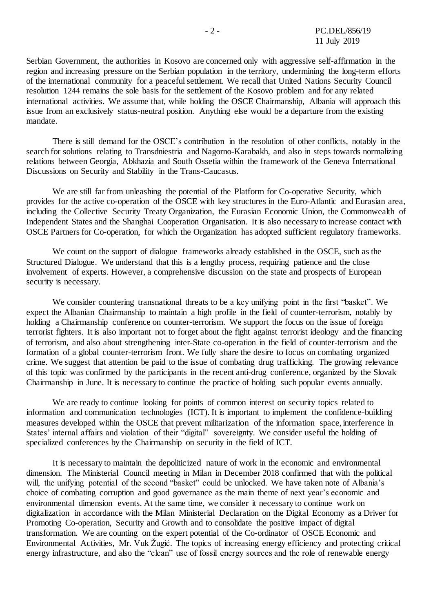Serbian Government, the authorities in Kosovo are concerned only with aggressive self-affirmation in the region and increasing pressure on the Serbian population in the territory, undermining the long-term efforts of the international community for a peaceful settlement. We recall that United Nations Security Council resolution 1244 remains the sole basis for the settlement of the Kosovo problem and for any related international activities. We assume that, while holding the OSCE Chairmanship, Albania will approach this issue from an exclusively status-neutral position. Anything else would be a departure from the existing mandate.

There is still demand for the OSCE's contribution in the resolution of other conflicts, notably in the search for solutions relating to Transdniestria and Nagorno-Karabakh, and also in steps towards normalizing relations between Georgia, Abkhazia and South Ossetia within the framework of the Geneva International Discussions on Security and Stability in the Trans-Caucasus.

We are still far from unleashing the potential of the Platform for Co-operative Security, which provides for the active co-operation of the OSCE with key structures in the Euro-Atlantic and Eurasian area, including the Collective Security Treaty Organization, the Eurasian Economic Union, the Commonwealth of Independent States and the Shanghai Cooperation Organisation. It is also necessary to increase contact with OSCE Partners for Co-operation, for which the Organization has adopted sufficient regulatory frameworks.

We count on the support of dialogue frameworks already established in the OSCE, such as the Structured Dialogue. We understand that this is a lengthy process, requiring patience and the close involvement of experts. However, a comprehensive discussion on the state and prospects of European security is necessary.

We consider countering transnational threats to be a key unifying point in the first "basket". We expect the Albanian Chairmanship to maintain a high profile in the field of counter-terrorism, notably by holding a Chairmanship conference on counter-terrorism. We support the focus on the issue of foreign terrorist fighters. It is also important not to forget about the fight against terrorist ideology and the financing of terrorism, and also about strengthening inter-State co-operation in the field of counter-terrorism and the formation of a global counter-terrorism front. We fully share the desire to focus on combating organized crime. We suggest that attention be paid to the issue of combating drug trafficking. The growing relevance of this topic was confirmed by the participants in the recent anti-drug conference, organized by the Slovak Chairmanship in June. It is necessary to continue the practice of holding such popular events annually.

We are ready to continue looking for points of common interest on security topics related to information and communication technologies (ICT). It is important to implement the confidence-building measures developed within the OSCE that prevent militarization of the information space, interference in States' internal affairs and violation of their "digital" sovereignty. We consider useful the holding of specialized conferences by the Chairmanship on security in the field of ICT.

It is necessary to maintain the depoliticized nature of work in the economic and environmental dimension. The Ministerial Council meeting in Milan in December 2018 confirmed that with the political will, the unifying potential of the second "basket" could be unlocked. We have taken note of Albania's choice of combating corruption and good governance as the main theme of next year's economic and environmental dimension events. At the same time, we consider it necessary to continue work on digitalization in accordance with the Milan Ministerial Declaration on the Digital Economy as a Driver for Promoting Co-operation, Security and Growth and to consolidate the positive impact of digital transformation. We are counting on the expert potential of the Co-ordinator of OSCE Economic and Environmental Activities, Mr. Vuk Žugić. The topics of increasing energy efficiency and protecting critical energy infrastructure, and also the "clean" use of fossil energy sources and the role of renewable energy